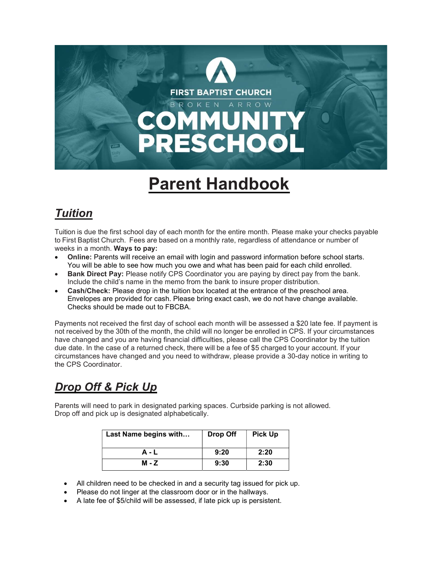

# Parent Handbook

## **Tuition**

Tuition is due the first school day of each month for the entire month. Please make your checks payable to First Baptist Church. Fees are based on a monthly rate, regardless of attendance or number of weeks in a month. Ways to pay:

- Online: Parents will receive an email with login and password information before school starts. You will be able to see how much you owe and what has been paid for each child enrolled.
- Bank Direct Pay: Please notify CPS Coordinator you are paying by direct pay from the bank. Include the child's name in the memo from the bank to insure proper distribution.
- Cash/Check: Please drop in the tuition box located at the entrance of the preschool area. Envelopes are provided for cash. Please bring exact cash, we do not have change available. Checks should be made out to FBCBA.

Payments not received the first day of school each month will be assessed a \$20 late fee. If payment is not received by the 30th of the month, the child will no longer be enrolled in CPS. If your circumstances have changed and you are having financial difficulties, please call the CPS Coordinator by the tuition due date. In the case of a returned check, there will be a fee of \$5 charged to your account. If your circumstances have changed and you need to withdraw, please provide a 30-day notice in writing to the CPS Coordinator.

# Drop Off & Pick Up

Parents will need to park in designated parking spaces. Curbside parking is not allowed. Drop off and pick up is designated alphabetically.

| Last Name begins with | Drop Off | <b>Pick Up</b> |
|-----------------------|----------|----------------|
| A - L                 | 9:20     | 2:20           |
| M - Z                 | 9:30     | 2:30           |

- All children need to be checked in and a security tag issued for pick up.
- Please do not linger at the classroom door or in the hallways.
- A late fee of \$5/child will be assessed, if late pick up is persistent.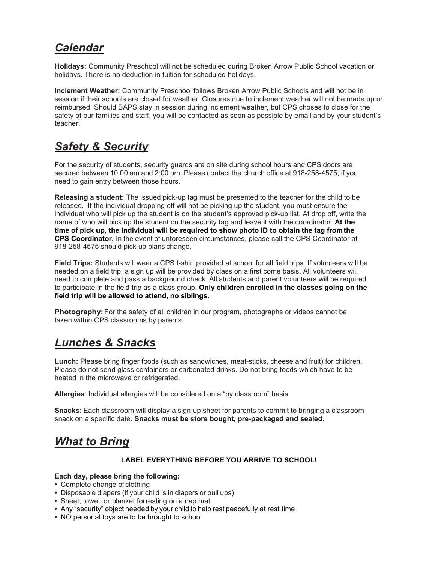### **Calendar**

Holidays: Community Preschool will not be scheduled during Broken Arrow Public School vacation or holidays. There is no deduction in tuition for scheduled holidays.

Inclement Weather: Community Preschool follows Broken Arrow Public Schools and will not be in session if their schools are closed for weather. Closures due to inclement weather will not be made up or reimbursed. Should BAPS stay in session during inclement weather, but CPS choses to close for the safety of our families and staff, you will be contacted as soon as possible by email and by your student's teacher.

### Safety & Security

For the security of students, security guards are on site during school hours and CPS doors are secured between 10:00 am and 2:00 pm. Please contact the church office at 918-258-4575, if you need to gain entry between those hours.

Releasing a student: The issued pick-up tag must be presented to the teacher for the child to be released. If the individual dropping off will not be picking up the student, you must ensure the individual who will pick up the student is on the student's approved pick-up list. At drop off, write the name of who will pick up the student on the security tag and leave it with the coordinator. At the time of pick up, the individual will be required to show photo ID to obtain the tag from the CPS Coordinator. In the event of unforeseen circumstances, please call the CPS Coordinator at 918-258-4575 should pick up plans change.

Field Trips: Students will wear a CPS t-shirt provided at school for all field trips. If volunteers will be needed on a field trip, a sign up will be provided by class on a first come basis. All volunteers will need to complete and pass a background check. All students and parent volunteers will be required to participate in the field trip as a class group. Only children enrolled in the classes going on the field trip will be allowed to attend, no siblings.

Photography: For the safety of all children in our program, photographs or videos cannot be taken within CPS classrooms by parents.

### Lunches & Snacks

Lunch: Please bring finger foods (such as sandwiches, meat-sticks, cheese and fruit) for children. Please do not send glass containers or carbonated drinks. Do not bring foods which have to be heated in the microwave or refrigerated.

Allergies: Individual allergies will be considered on a "by classroom" basis.

**Snacks:** Each classroom will display a sign-up sheet for parents to commit to bringing a classroom snack on a specific date. Snacks must be store bought, pre-packaged and sealed.

### What to Bring

#### LABEL EVERYTHING BEFORE YOU ARRIVE TO SCHOOL!

#### Each day, please bring the following:

- Complete change of clothing
- Disposable diapers (if your child is in diapers or pull ups)
- Sheet, towel, or blanket for resting on a nap mat
- Any "security" object needed by your child to help rest peacefully at rest time
- NO personal toys are to be brought to school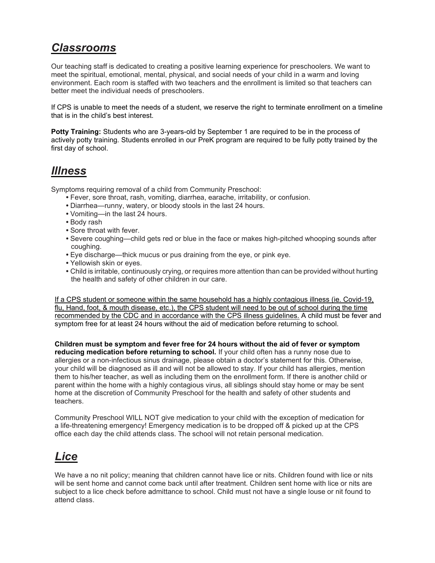### Classrooms

Our teaching staff is dedicated to creating a positive learning experience for preschoolers. We want to meet the spiritual, emotional, mental, physical, and social needs of your child in a warm and loving environment. Each room is staffed with two teachers and the enrollment is limited so that teachers can better meet the individual needs of preschoolers.

If CPS is unable to meet the needs of a student, we reserve the right to terminate enrollment on a timeline that is in the child's best interest.

Potty Training: Students who are 3-years-old by September 1 are required to be in the process of actively potty training. Students enrolled in our PreK program are required to be fully potty trained by the first day of school.

### Illness

Symptoms requiring removal of a child from Community Preschool:

- Fever, sore throat, rash, vomiting, diarrhea, earache, irritability, or confusion.
- Diarrhea—runny, watery, or bloody stools in the last 24 hours.
- Vomiting—in the last 24 hours.
- Body rash
- Sore throat with fever.
- Severe coughing—child gets red or blue in the face or makes high-pitched whooping sounds after coughing.
- Eye discharge—thick mucus or pus draining from the eye, or pink eye.
- Yellowish skin or eyes.
- Child is irritable, continuously crying, or requires more attention than can be provided without hurting the health and safety of other children in our care.

If a CPS student or someone within the same household has a highly contagious illness (ie. Covid-19, flu, Hand, foot, & mouth disease, etc.), the CPS student will need to be out of school during the time recommended by the CDC and in accordance with the CPS illness guidelines. A child must be fever and symptom free for at least 24 hours without the aid of medication before returning to school.

Children must be symptom and fever free for 24 hours without the aid of fever or symptom reducing medication before returning to school. If your child often has a runny nose due to allergies or a non-infectious sinus drainage, please obtain a doctor's statement for this. Otherwise, your child will be diagnosed as ill and will not be allowed to stay. If your child has allergies, mention them to his/her teacher, as well as including them on the enrollment form. If there is another child or parent within the home with a highly contagious virus, all siblings should stay home or may be sent home at the discretion of Community Preschool for the health and safety of other students and teachers.

Community Preschool WILL NOT give medication to your child with the exception of medication for a life-threatening emergency! Emergency medication is to be dropped off & picked up at the CPS office each day the child attends class. The school will not retain personal medication.

### Lice

We have a no nit policy; meaning that children cannot have lice or nits. Children found with lice or nits will be sent home and cannot come back until after treatment. Children sent home with lice or nits are subject to a lice check before admittance to school. Child must not have a single louse or nit found to attend class.